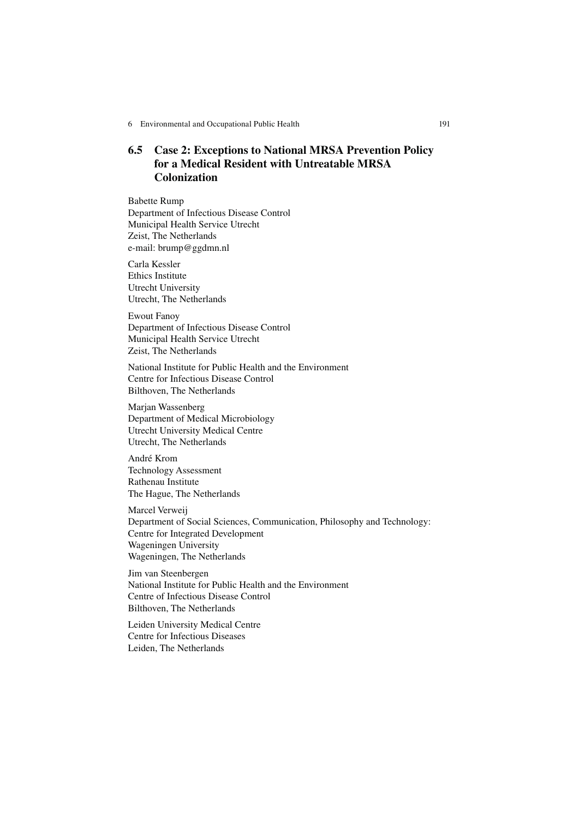# **6.5 Case 2: Exceptions to National MRSA Prevention Policy for a Medical Resident with Untreatable MRSA Colonization**

 Babette Rump Department of Infectious Disease Control Municipal Health Service Utrecht Zeist, The Netherlands e-mail: brump@ggdmn.nl

 Carla Kessler Ethics Institute Utrecht University Utrecht, The Netherlands

 Ewout Fanoy Department of Infectious Disease Control Municipal Health Service Utrecht Zeist, The Netherlands

 National Institute for Public Health and the Environment Centre for Infectious Disease Control Bilthoven, The Netherlands

 Marjan Wassenberg Department of Medical Microbiology Utrecht University Medical Centre Utrecht. The Netherlands

 André Krom Technology Assessment Rathenau Institute The Hague, The Netherlands

 Marcel Verweij Department of Social Sciences, Communication, Philosophy and Technology: Centre for Integrated Development Wageningen University Wageningen, The Netherlands

 Jim van Steenbergen National Institute for Public Health and the Environment Centre of Infectious Disease Control Bilthoven, The Netherlands

 Leiden University Medical Centre Centre for Infectious Diseases Leiden, The Netherlands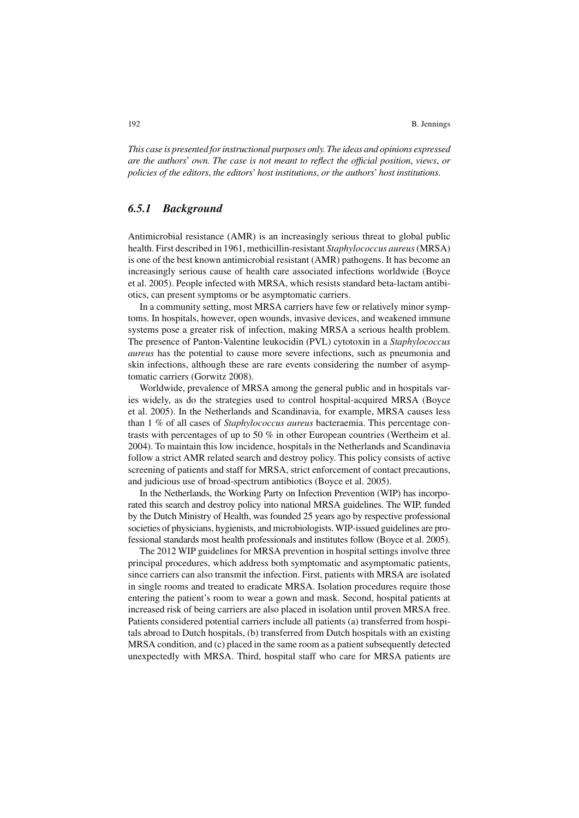*This case is presented for instructional purposes only. The ideas and opinions expressed are the authors' own. The case is not meant to reflect the official position, views, or policies of the editors* , *the editors* ' *host institutions* , *or the authors* ' *host institutions* .

#### *6.5.1 Background*

 Antimicrobial resistance (AMR) is an increasingly serious threat to global public health. First described in 1961, methicillin-resistant *Staphylococcus aureus* (MRSA) is one of the best known antimicrobial resistant (AMR) pathogens. It has become an increasingly serious cause of health care associated infections worldwide (Boyce et al. 2005 ). People infected with MRSA, which resists standard beta-lactam antibiotics, can present symptoms or be asymptomatic carriers.

 In a community setting, most MRSA carriers have few or relatively minor symptoms. In hospitals, however, open wounds, invasive devices, and weakened immune systems pose a greater risk of infection, making MRSA a serious health problem. The presence of Panton-Valentine leukocidin (PVL) cytotoxin in a *Staphylococcus aureus* has the potential to cause more severe infections, such as pneumonia and skin infections, although these are rare events considering the number of asymptomatic carriers (Gorwitz 2008).

 Worldwide, prevalence of MRSA among the general public and in hospitals varies widely, as do the strategies used to control hospital-acquired MRSA (Boyce et al. 2005 ). In the Netherlands and Scandinavia , for example, MRSA causes less than 1 % of all cases of *Staphylococcus aureus* bacteraemia. This percentage contrasts with percentages of up to 50 % in other European countries (Wertheim et al. 2004 ). To maintain this low incidence, hospitals in the Netherlands and Scandinavia follow a strict AMR related search and destroy policy . This policy consists of active screening of patients and staff for MRSA, strict enforcement of contact precautions, and judicious use of broad-spectrum antibiotics (Boyce et al. 2005 ).

 In the Netherlands, the Working Party on Infection Prevention (WIP) has incorporated this search and destroy policy into national MRSA guidelines. The WIP, funded by the Dutch Ministry of Health, was founded 25 years ago by respective professional societies of physicians, hygienists, and microbiologists. WIP-issued guidelines are professional standards most health professionals and institutes follow (Boyce et al. 2005 ).

 The 2012 WIP guidelines for MRSA prevention in hospital settings involve three principal procedures, which address both symptomatic and asymptomatic patients, since carriers can also transmit the infection. First, patients with MRSA are isolated in single rooms and treated to eradicate MRSA. Isolation procedures require those entering the patient's room to wear a gown and mask. Second, hospital patients at increased risk of being carriers are also placed in isolation until proven MRSA free. Patients considered potential carriers include all patients (a) transferred from hospitals abroad to Dutch hospitals, (b) transferred from Dutch hospitals with an existing MRSA condition, and  $(c)$  placed in the same room as a patient subsequently detected unexpectedly with MRSA. Third, hospital staff who care for MRSA patients are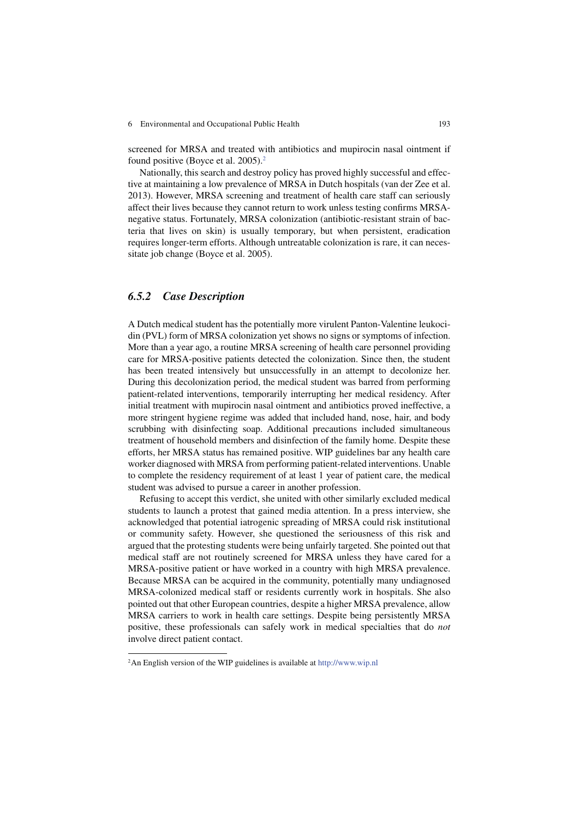screened for MRSA and treated with antibiotics and mupirocin nasal ointment if found positive (Boyce et al. 2005).<sup>2</sup>

 Nationally, this search and destroy policy has proved highly successful and effective at maintaining a low prevalence of MRSA in Dutch hospitals (van der Zee et al. 2013 ). However, MRSA screening and treatment of health care staff can seriously affect their lives because they cannot return to work unless testing confirms MRSAnegative status. Fortunately, MRSA colonization ( antibiotic-resistant strain of bacteria that lives on skin) is usually temporary, but when persistent, eradication requires longer-term efforts. Although untreatable colonization is rare, it can necessitate job change (Boyce et al. 2005).

### *6.5.2 Case Description*

 A Dutch medical student has the potentially more virulent Panton-Valentine leukocidin (PVL) form of MRSA colonization yet shows no signs or symptoms of infection. More than a year ago, a routine MRSA screening of health care personnel providing care for MRSA-positive patients detected the colonization. Since then, the student has been treated intensively but unsuccessfully in an attempt to decolonize her. During this decolonization period, the medical student was barred from performing patient-related interventions, temporarily interrupting her medical residency. After initial treatment with mupirocin nasal ointment and antibiotics proved ineffective, a more stringent hygiene regime was added that included hand, nose, hair, and body scrubbing with disinfecting soap. Additional precautions included simultaneous treatment of household members and disinfection of the family home. Despite these efforts, her MRSA status has remained positive. WIP guidelines bar any health care worker diagnosed with MRSA from performing patient-related interventions. Unable to complete the residency requirement of at least 1 year of patient care, the medical student was advised to pursue a career in another profession.

 Refusing to accept this verdict, she united with other similarly excluded medical students to launch a protest that gained media attention. In a press interview, she acknowledged that potential iatrogenic spreading of MRSA could risk institutional or community safety. However, she questioned the seriousness of this risk and argued that the protesting students were being unfairly targeted. She pointed out that medical staff are not routinely screened for MRSA unless they have cared for a MRSA-positive patient or have worked in a country with high MRSA prevalence. Because MRSA can be acquired in the community, potentially many undiagnosed MRSA-colonized medical staff or residents currently work in hospitals. She also pointed out that other European countries, despite a higher MRSA prevalence, allow MRSA carriers to work in health care settings. Despite being persistently MRSA positive, these professionals can safely work in medical specialties that do *not* involve direct patient contact.

<sup>&</sup>lt;sup>2</sup>An English version of the WIP guidelines is available at http://www.wip.nl